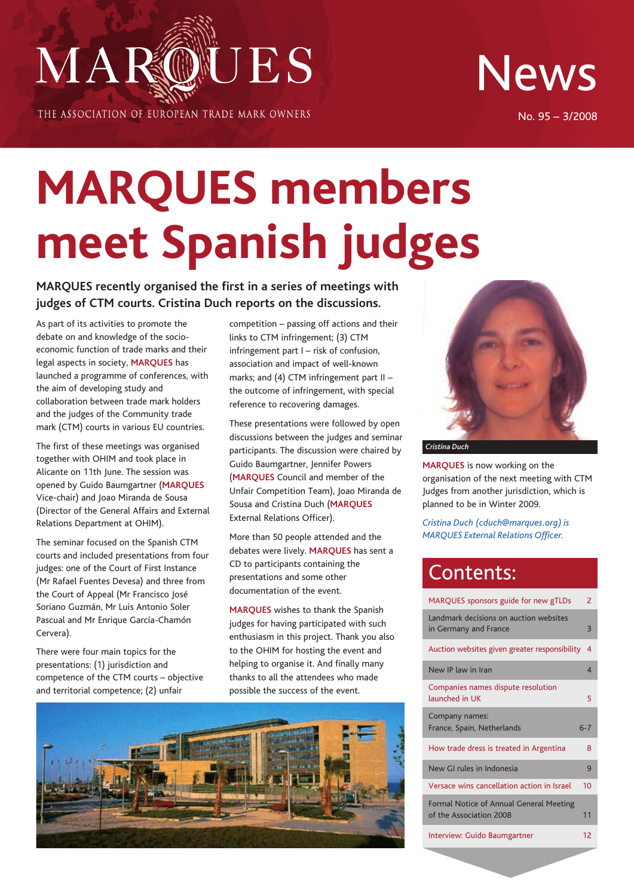

THE ASSOCIATION OF EUROPEAN TRADE MARK OWNERS

## News

No. 95 – 3/2008

# **MARQUES members meet Spanish judges**

**MARQUES recently organised the first in a series of meetings with judges of CTM courts. Cristina Duch reports on the discussions.**

As part of its activities to promote the debate on and knowledge of the socioeconomic function of trade marks and their legal aspects in society, **MARQUES** has launched a programme of conferences, with the aim of developing study and collaboration between trade mark holders and the judges of the Community trade mark (CTM) courts in various EU countries.

The first of these meetings was organised together with OHIM and took place in Alicante on 11th June. The session was opened by Guido Baumgartner (**MARQUES** Vice-chair) and Joao Miranda de Sousa (Director of the General Affairs and External Relations Department at OHIM).

The seminar focused on the Spanish CTM courts and included presentations from four judges: one of the Court of First Instance (Mr Rafael Fuentes Devesa) and three from the Court of Appeal (Mr Francisco José Soriano Guzmán, Mr Luis Antonio Soler Pascual and Mr Enrique García-Chamón Cervera).

There were four main topics for the presentations: (1) jurisdiction and competence of the CTM courts – objective and territorial competence; (2) unfair

competition – passing off actions and their links to CTM infringement; (3) CTM infringement part I – risk of confusion, association and impact of well-known marks; and (4) CTM infringement part II – the outcome of infringement, with special reference to recovering damages.

These presentations were followed by open discussions between the judges and seminar participants. The discussion were chaired by Guido Baumgartner, Jennifer Powers (**MARQUES** Council and member of the Unfair Competition Team), Joao Miranda de Sousa and Cristina Duch (**MARQUES** External Relations Officer).

More than 50 people attended and the debates were lively. **MARQUES** has sent a CD to participants containing the presentations and some other documentation of the event.

**MARQUES** wishes to thank the Spanish judges for having participated with such enthusiasm in this project. Thank you also to the OHIM for hosting the event and helping to organise it. And finally many thanks to all the attendees who made possible the success of the event.





*Cristina Duch*

**MARQUES** is now working on the organisation of the next meeting with CTM Judges from another jurisdiction, which is planned to be in Winter 2009.

*Cristina Duch (cduch@marques.org) is MARQUES External Relations Officer.*

### Contents:

| MARQUES sponsors guide for new gTLDs                                      | $\overline{\phantom{0}}$ |
|---------------------------------------------------------------------------|--------------------------|
| Landmark decisions on auction websites<br>in Germany and France           | $\overline{3}$           |
| Auction websites given greater responsibility                             | 4                        |
| New IP law in Iran                                                        | 4                        |
| Companies names dispute resolution<br>launched in UK                      | 5                        |
| Company names:                                                            |                          |
| France, Spain, Netherlands                                                | $6 - 7$                  |
| How trade dress is treated in Argentina                                   | 8                        |
| New GL rules in Indonesia                                                 | 9                        |
| Versace wins cancellation action in Israel                                | 10                       |
| <b>Formal Notice of Annual General Meeting</b><br>of the Association 2008 | 11                       |